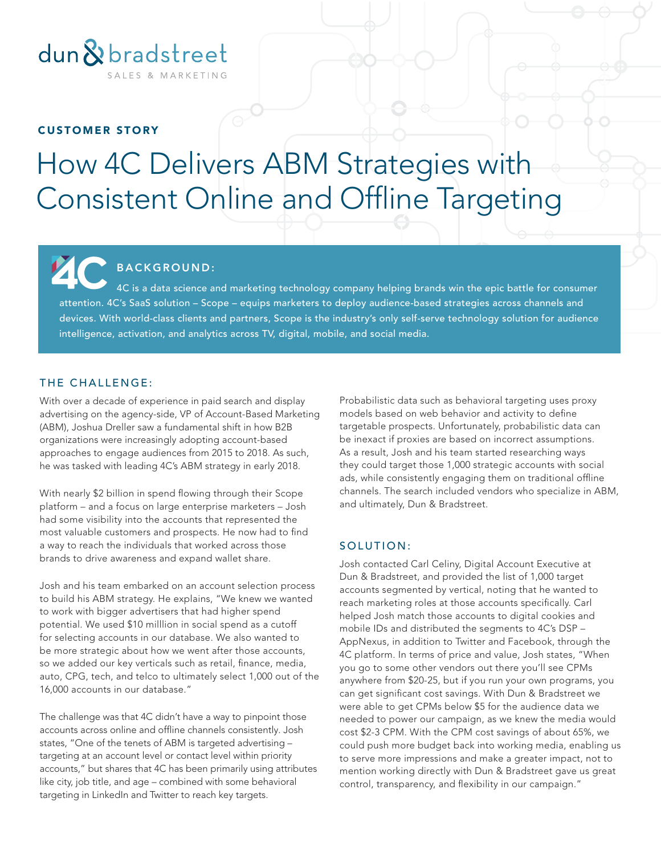

#### CUSTOMER STORY

# How 4C Delivers ABM Strategies with Consistent Online and Offline Targeting

# BACKGROUND:

4C is a data science and marketing technology company helping brands win the epic battle for consumer attention. 4C's SaaS solution – Scope – equips marketers to deploy audience-based strategies across channels and devices. With world-class clients and partners, Scope is the industry's only self-serve technology solution for audience intelligence, activation, and analytics across TV, digital, mobile, and social media.

## THE CHALLENGE:

With over a decade of experience in paid search and display advertising on the agency-side, VP of Account-Based Marketing (ABM), Joshua Dreller saw a fundamental shift in how B2B organizations were increasingly adopting account-based approaches to engage audiences from 2015 to 2018. As such, he was tasked with leading 4C's ABM strategy in early 2018.

With nearly \$2 billion in spend flowing through their Scope platform – and a focus on large enterprise marketers – Josh had some visibility into the accounts that represented the most valuable customers and prospects. He now had to find a way to reach the individuals that worked across those brands to drive awareness and expand wallet share.

Josh and his team embarked on an account selection process to build his ABM strategy. He explains, "We knew we wanted to work with bigger advertisers that had higher spend potential. We used \$10 milllion in social spend as a cutoff for selecting accounts in our database. We also wanted to be more strategic about how we went after those accounts, so we added our key verticals such as retail, finance, media, auto, CPG, tech, and telco to ultimately select 1,000 out of the 16,000 accounts in our database."

The challenge was that 4C didn't have a way to pinpoint those accounts across online and offline channels consistently. Josh states, "One of the tenets of ABM is targeted advertising – targeting at an account level or contact level within priority accounts," but shares that 4C has been primarily using attributes like city, job title, and age – combined with some behavioral targeting in LinkedIn and Twitter to reach key targets.

Probabilistic data such as behavioral targeting uses proxy models based on web behavior and activity to define targetable prospects. Unfortunately, probabilistic data can be inexact if proxies are based on incorrect assumptions. As a result, Josh and his team started researching ways they could target those 1,000 strategic accounts with social ads, while consistently engaging them on traditional offline channels. The search included vendors who specialize in ABM, and ultimately, Dun & Bradstreet.

### SOLUTION:

Josh contacted Carl Celiny, Digital Account Executive at Dun & Bradstreet, and provided the list of 1,000 target accounts segmented by vertical, noting that he wanted to reach marketing roles at those accounts specifically. Carl helped Josh match those accounts to digital cookies and mobile IDs and distributed the segments to 4C's DSP – AppNexus, in addition to Twitter and Facebook, through the 4C platform. In terms of price and value, Josh states, "When you go to some other vendors out there you'll see CPMs anywhere from \$20-25, but if you run your own programs, you can get significant cost savings. With Dun & Bradstreet we were able to get CPMs below \$5 for the audience data we needed to power our campaign, as we knew the media would cost \$2-3 CPM. With the CPM cost savings of about 65%, we could push more budget back into working media, enabling us to serve more impressions and make a greater impact, not to mention working directly with Dun & Bradstreet gave us great control, transparency, and flexibility in our campaign."